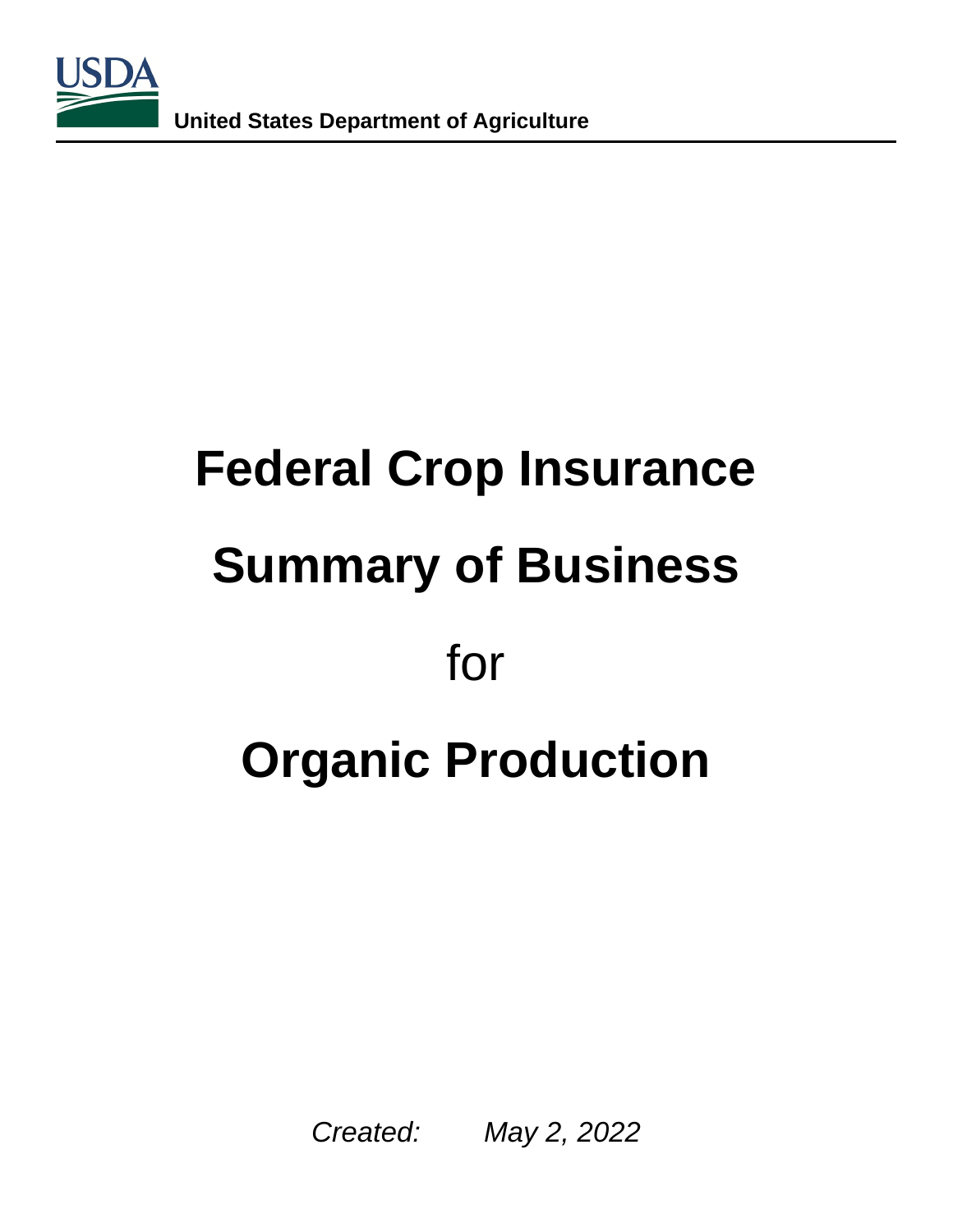

# **Federal Crop Insurance Summary of Business**  for **Organic Production**

Created: May 2, 2022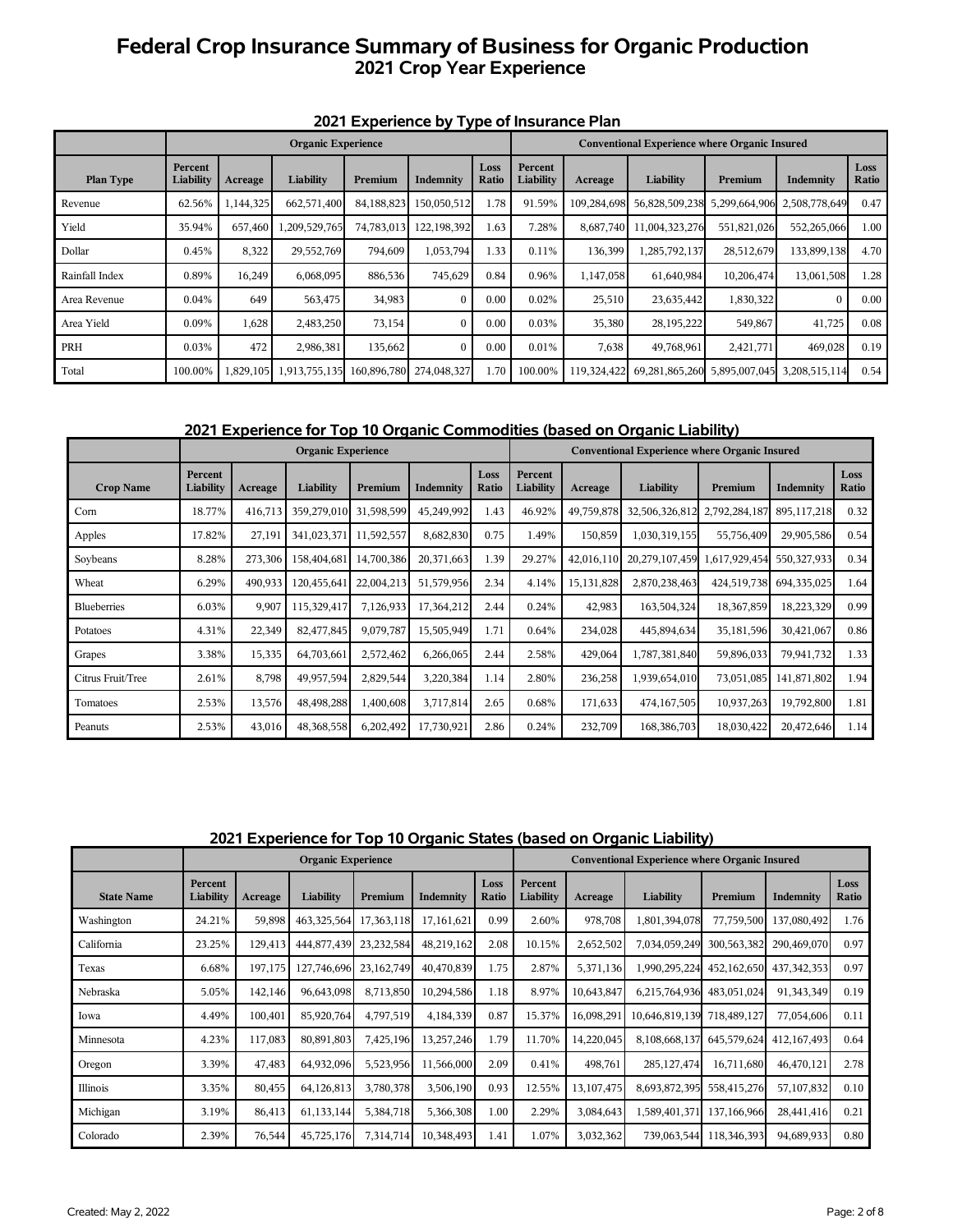# **Federal Crop Insurance Summary of Business for Organic Production 2021 Crop Year Experience**

|                |                      |         | <b>Organic Experience</b> |             |              | $\cdot$ , $\sim$ |                      |             | <b>Conventional Experience where Organic Insured</b> |               |               |               |
|----------------|----------------------|---------|---------------------------|-------------|--------------|------------------|----------------------|-------------|------------------------------------------------------|---------------|---------------|---------------|
| Plan Type      | Percent<br>Liability | Acreage | Liability                 | Premium     | Indemnity    | Loss<br>Ratio    | Percent<br>Liability | Acreage     | Liability                                            | Premium       | Indemnity     | Loss<br>Ratio |
| Revenue        | 62.56%               | 144,325 | 662,571,400               | 84,188,823  | 150,050,512  | 1.78             | 91.59%               | 109,284,698 | 56,828,509,238                                       | 5,299,664,906 | 2,508,778,649 | 0.47          |
| Yield          | 35.94%               | 657,460 | 1,209,529,765             | 74,783,013  | 122,198,392  | 1.63             | 7.28%                | 8,687,740   | 11,004,323,276                                       | 551,821,026   | 552,265,066   | 1.00          |
| Dollar         | 0.45%                | 8,322   | 29,552,769                | 794,609     | 1,053,794    | 1.33             | 0.11%                | 136,399     | 1,285,792,137                                        | 28,512,679    | 133,899,138   | 4.70          |
| Rainfall Index | 0.89%                | 16,249  | 6,068,095                 | 886,536     | 745,629      | 0.84             | 0.96%                | 1,147,058   | 61,640,984                                           | 10,206,474    | 13,061,508    | 1.28          |
| Area Revenue   | 0.04%                | 649     | 563,475                   | 34,983      | $\mathbf{0}$ | 0.00             | 0.02%                | 25,510      | 23,635,442                                           | 1,830,322     | $\bf{0}$      | 0.00          |
| Area Yield     | 0.09%                | 1,628   | 2,483,250                 | 73,154      | $\mathbf{0}$ | 0.00             | 0.03%                | 35,380      | 28,195,222                                           | 549,867       | 41,725        | 0.08          |
| PRH            | 0.03%                | 472     | 2,986,381                 | 135,662     | $\mathbf{0}$ | 0.00             | 0.01%                | 7,638       | 49,768,961                                           | 2,421,771     | 469,028       | 0.19          |
| Total          | 100.00%              |         | 1,829,105 1,913,755,135   | 160,896,780 | 274,048,327  | 1.70             | 100.00%              | 119,324,422 | 69,281,865,260                                       | 5,895,007,045 | 3,208,515,114 | 0.54          |

## **2021 Experience by Type of Insurance Plan**

**2021 Experience for Top 10 Organic Commodities (based on Organic Liability)** 

|                    |                      |         | <b>Organic Experience</b> |            |            |               |                      |              | <b>Conventional Experience where Organic Insured</b> |               |               |               |
|--------------------|----------------------|---------|---------------------------|------------|------------|---------------|----------------------|--------------|------------------------------------------------------|---------------|---------------|---------------|
| <b>Crop Name</b>   | Percent<br>Liability | Acreage | Liability                 | Premium    | Indemnity  | Loss<br>Ratio | Percent<br>Liability | Acreage      | Liability                                            | Premium       | Indemnity     | Loss<br>Ratio |
| Corn               | 18.77%               | 416,713 | 359,279,010               | 31,598,599 | 45,249,992 | 1.43          | 46.92%               | 49,759,878   | 32,506,326,812                                       | 2,792,284,187 | 895,117,218   | 0.32          |
| Apples             | 17.82%               | 27,191  | 341,023,371               | 11,592,557 | 8,682,830  | 0.75          | 1.49%                | 150,859      | 1,030,319,155                                        | 55,756,409    | 29,905,586    | 0.54          |
| Soybeans           | 8.28%                | 273,306 | 158,404,681               | 14,700,386 | 20,371,663 | 1.39          | 29.27%               | 42,016,110   | 20,279,107,459                                       | .,617,929,454 | 550, 327, 933 | 0.34          |
| Wheat              | 6.29%                | 490,933 | 120,455,641               | 22,004,213 | 51,579,956 | 2.34          | 4.14%                | 15, 131, 828 | 2,870,238,463                                        | 424,519,738   | 694,335,025   | 1.64          |
| <b>Blueberries</b> | 6.03%                | 9,907   | 115,329,417               | 7,126,933  | 17,364,212 | 2.44          | 0.24%                | 42,983       | 163,504,324                                          | 18,367,859    | 18,223,329    | 0.99          |
| Potatoes           | 4.31%                | 22,349  | 82,477,845                | 9,079,787  | 15,505,949 | 1.71          | 0.64%                | 234,028      | 445,894,634                                          | 35,181,596    | 30,421,067    | 0.86          |
| Grapes             | 3.38%                | 15,335  | 64,703,661                | 2,572,462  | 6,266,065  | 2.44          | 2.58%                | 429,064      | 1,787,381,840                                        | 59,896,033    | 79,941,732    | 1.33          |
| Citrus Fruit/Tree  | 2.61%                | 8,798   | 49,957,594                | 2,829,544  | 3,220,384  | 1.14          | 2.80%                | 236,258      | 1,939,654,010                                        | 73,051,085    | 141,871,802   | 1.94          |
| Tomatoes           | 2.53%                | 13,576  | 48,498,288                | 1,400,608  | 3,717,814  | 2.65          | 0.68%                | 171,633      | 474,167,505                                          | 10,937,263    | 19,792,800    | 1.81          |
| Peanuts            | 2.53%                | 43,016  | 48,368,558                | 6,202,492  | 17,730,921 | 2.86          | 0.24%                | 232,709      | 168,386,703                                          | 18,030,422    | 20,472,646    | 1.14          |

**2021 Experience for Top 10 Organic States (based on Organic Liability)** 

|                   |                      |         | <b>Organic Experience</b> |            |            |               |                      |            | <b>Conventional Experience where Organic Insured</b> |             |               |               |
|-------------------|----------------------|---------|---------------------------|------------|------------|---------------|----------------------|------------|------------------------------------------------------|-------------|---------------|---------------|
| <b>State Name</b> | Percent<br>Liability | Acreage | Liability                 | Premium    | Indemnity  | Loss<br>Ratio | Percent<br>Liability | Acreage    | Liability                                            | Premium     | Indemnity     | Loss<br>Ratio |
| Washington        | 24.21%               | 59,898  | 463,325,564               | 17,363,118 | 17,161,621 | 0.99          | 2.60%                | 978,708    | 1,801,394,078                                        | 77,759,500  | 137,080,492   | 1.76          |
| California        | 23.25%               | 129,413 | 444,877,439               | 23,232,584 | 48,219,162 | 2.08          | 10.15%               | 2,652,502  | 7,034,059,249                                        | 300,563,382 | 290,469,070   | 0.97          |
| Texas             | 6.68%                | 197,175 | 127,746,696               | 23,162,749 | 40,470,839 | 1.75          | 2.87%                | 5,371,136  | 1,990,295,224                                        | 452,162,650 | 437, 342, 353 | 0.97          |
| Nebraska          | 5.05%                | 142,146 | 96,643,098                | 8,713,850  | 10,294,586 | 1.18          | 8.97%                | 10,643,847 | 6,215,764,936                                        | 483,051,024 | 91,343,349    | 0.19          |
| Iowa              | 4.49%                | 100,401 | 85,920,764                | 4,797,519  | 4,184,339  | 0.87          | 15.37%               | 16,098,291 | 10,646,819,139                                       | 718,489,127 | 77,054,606    | 0.11          |
| Minnesota         | 4.23%                | 117,083 | 80,891,803                | 7,425,196  | 13,257,246 | 1.79          | 11.70%               | 14,220,045 | 8,108,668,137                                        | 645,579,624 | 412, 167, 493 | 0.64          |
| Oregon            | 3.39%                | 47,483  | 64,932,096                | 5,523,956  | 11,566,000 | 2.09          | 0.41%                | 498,761    | 285, 127, 474                                        | 16,711,680  | 46,470,121    | 2.78          |
| Illinois          | 3.35%                | 80,455  | 64,126,813                | 3,780,378  | 3,506,190  | 0.93          | 12.55%               | 13,107,475 | 8,693,872,395                                        | 558,415,276 | 57,107,832    | 0.10          |
| Michigan          | 3.19%                | 86,413  | 61,133,144                | 5,384,718  | 5,366,308  | 1.00          | 2.29%                | 3,084,643  | 1,589,401,371                                        | 137,166,966 | 28,441,416    | 0.21          |
| Colorado          | 2.39%                | 76,544  | 45,725,176                | 7,314,714  | 10,348,493 | 1.41          | 1.07%                | 3,032,362  | 739,063,544                                          | 118,346,393 | 94,689,933    | 0.80          |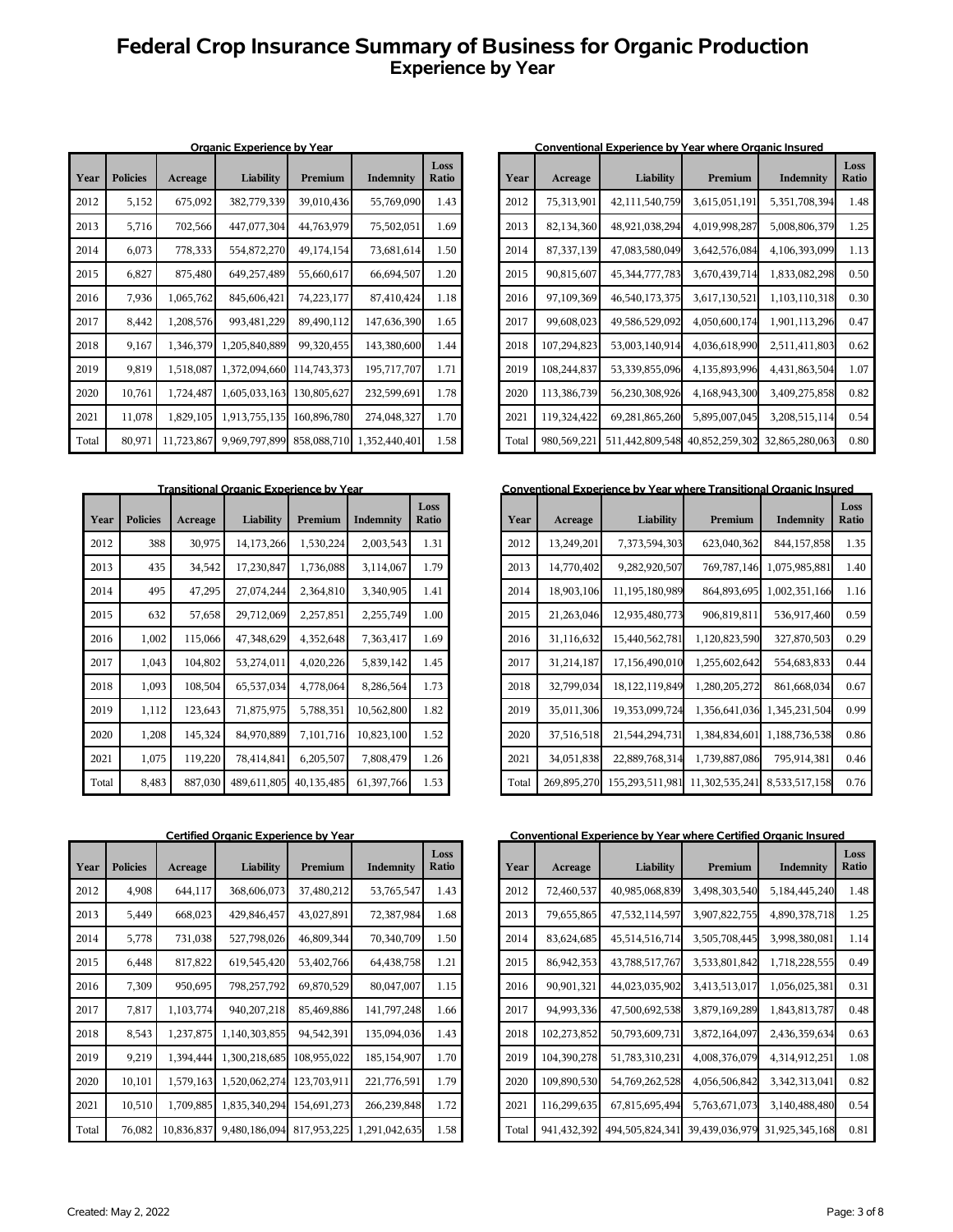# **Federal Crop Insurance Summary of Business for Organic Production Experience by Year**

| Year  | <b>Policies</b> | Acreage    | <u>Urganic Experience by Year</u><br>Liability | Premium     | Indemnity     | Loss<br>Ratio |
|-------|-----------------|------------|------------------------------------------------|-------------|---------------|---------------|
| 2012  | 5,152           | 675,092    | 382,779,339                                    | 39,010,436  | 55,769,090    | 1.43          |
| 2013  | 5,716           | 702,566    | 447,077,304                                    | 44,763,979  | 75,502,051    | 1.69          |
| 2014  | 6,073           | 778,333    | 554,872,270                                    | 49,174,154  | 73,681,614    | 1.50          |
| 2015  | 6,827           | 875,480    | 649,257,489                                    | 55,660,617  | 66,694,507    | 1.20          |
| 2016  | 7,936           | 1,065,762  | 845,606,421                                    | 74,223,177  | 87,410,424    | 1.18          |
| 2017  | 8,442           | 1,208,576  | 993,481,229                                    | 89,490,112  | 147,636,390   | 1.65          |
| 2018  | 9,167           | 1,346,379  | 1,205,840,889                                  | 99,320,455  | 143,380,600   | 1.44          |
| 2019  | 9,819           | 1,518,087  | 1,372,094,660                                  | 114,743,373 | 195,717,707   | 1.71          |
| 2020  | 10,761          | 1,724,487  | 1,605,033,163                                  | 130,805,627 | 232,599,691   | 1.78          |
| 2021  | 11,078          | 1,829,105  | 1,913,755,135                                  | 160,896,780 | 274,048,327   | 1.70          |
| Total | 80,971          | 11,723,867 | 9,969,797,899                                  | 858,088,710 | 1,352,440,401 | 1.58          |

|       |                 |         | <u>Halisiuonal Organic Experience by Teal</u> |            |            |               |
|-------|-----------------|---------|-----------------------------------------------|------------|------------|---------------|
| Year  | <b>Policies</b> | Acreage | Liability                                     | Premium    | Indemnity  | Loss<br>Ratio |
| 2012  | 388             | 30,975  | 14,173,266                                    | 1,530,224  | 2,003,543  | 1.31          |
| 2013  | 435             | 34,542  | 17,230,847                                    | 1,736,088  | 3,114,067  | 1.79          |
| 2014  | 495             | 47,295  | 27,074,244                                    | 2,364,810  | 3,340,905  | 1.41          |
| 2015  | 632             | 57,658  | 29,712,069                                    | 2,257,851  | 2,255,749  | 1.00          |
| 2016  | 1,002           | 115,066 | 47,348,629                                    | 4,352,648  | 7,363,417  | 1.69          |
| 2017  | 1,043           | 104,802 | 53,274,011                                    | 4,020,226  | 5,839,142  | 1.45          |
| 2018  | 1,093           | 108,504 | 65,537,034                                    | 4,778,064  | 8,286,564  | 1.73          |
| 2019  | 1,112           | 123,643 | 71,875,975                                    | 5,788,351  | 10,562,800 | 1.82          |
| 2020  | 1,208           | 145,324 | 84,970,889                                    | 7,101,716  | 10,823,100 | 1.52          |
| 2021  | 1,075           | 119,220 | 78,414,841                                    | 6,205,507  | 7,808,479  | 1.26          |
| Total | 8,483           | 887,030 | 489,611,805                                   | 40,135,485 | 61,397,766 | 1.53          |

| Year  | <b>Policies</b> | Acreage    | Liability     | Premium     | Indemnity     | Loss<br>Ratio |
|-------|-----------------|------------|---------------|-------------|---------------|---------------|
| 2012  | 4,908           | 644,117    | 368,606,073   | 37,480,212  | 53,765,547    | 1.43          |
| 2013  | 5,449           | 668,023    | 429,846,457   | 43,027,891  | 72,387,984    | 1.68          |
| 2014  | 5,778           | 731,038    | 527,798,026   | 46,809,344  | 70,340,709    | 1.50          |
| 2015  | 6,448           | 817,822    | 619,545,420   | 53,402,766  | 64,438,758    | 1.21          |
| 2016  | 7,309           | 950,695    | 798,257,792   | 69,870,529  | 80,047,007    | 1.15          |
| 2017  | 7,817           | 1,103,774  | 940, 207, 218 | 85,469,886  | 141,797,248   | 1.66          |
| 2018  | 8,543           | 1,237,875  | 1,140,303,855 | 94,542,391  | 135,094,036   | 1.43          |
| 2019  | 9,219           | 1,394,444  | 1,300,218,685 | 108,955,022 | 185,154,907   | 1.70          |
| 2020  | 10,101          | 1,579,163  | 1,520,062,274 | 123,703,911 | 221,776,591   | 1.79          |
| 2021  | 10,510          | 1,709,885  | 1,835,340,294 | 154,691,273 | 266,239,848   | 1.72          |
| Total | 76,082          | 10,836,837 | 9,480,186,094 | 817,953,225 | 1,291,042,635 | 1.58          |

### **Organic Experience by Year Conventional Experience by Year where Organic Insured Conventional Experience by Year where Organic Insured**

| Year  | Acreage     | Liability         | Premium        | Indemnity      | Loss<br><b>Ratio</b> |
|-------|-------------|-------------------|----------------|----------------|----------------------|
| 2012  | 75,313,901  | 42,111,540,759    | 3,615,051,191  | 5,351,708,394  | 1.48                 |
| 2013  | 82,134,360  | 48,921,038,294    | 4,019,998,287  | 5,008,806,379  | 1.25                 |
| 2014  | 87,337,139  | 47,083,580,049    | 3,642,576,084  | 4,106,393,099  | 1.13                 |
| 2015  | 90,815,607  | 45, 344, 777, 783 | 3,670,439,714  | 1,833,082,298  | 0.50                 |
| 2016  | 97,109,369  | 46,540,173,375    | 3,617,130,521  | 1,103,110,318  | 0.30                 |
| 2017  | 99,608,023  | 49,586,529,092    | 4,050,600,174  | 1,901,113,296  | 0.47                 |
| 2018  | 107,294,823 | 53,003,140,914    | 4,036,618,990  | 2,511,411,803  | 0.62                 |
| 2019  | 108,244,837 | 53,339,855,096    | 4,135,893,996  | 4,431,863,504  | 1.07                 |
| 2020  | 113,386,739 | 56,230,308,926    | 4,168,943,300  | 3,409,275,858  | 0.82                 |
| 2021  | 119,324,422 | 69,281,865,260    | 5,895,007,045  | 3,208,515,114  | 0.54                 |
| Total | 980,569,221 | 511,442,809,548   | 40,852,259,302 | 32,865,280,063 | 0.80                 |

### **Transitional Organic Experience by Year Conventional Experience by Year where Transitional Organic Insured**

| Year  | Acreage     | Liability       | Premium        | Indemnity     | Loss<br>Ratio |
|-------|-------------|-----------------|----------------|---------------|---------------|
| 2012  | 13,249,201  | 7,373,594,303   | 623,040,362    | 844,157,858   | 1.35          |
| 2013  | 14,770,402  | 9,282,920,507   | 769,787,146    | 1,075,985,881 | 1.40          |
| 2014  | 18,903,106  | 11,195,180,989  | 864,893,695    | 1,002,351,166 | 1.16          |
| 2015  | 21,263,046  | 12,935,480,773  | 906,819,811    | 536,917,460   | 0.59          |
| 2016  | 31,116,632  | 15,440,562,781  | 1,120,823,590  | 327,870,503   | 0.29          |
| 2017  | 31,214,187  | 17,156,490,010  | 1,255,602,642  | 554,683,833   | 0.44          |
| 2018  | 32,799,034  | 18,122,119,849  | 1,280,205,272  | 861,668,034   | 0.67          |
| 2019  | 35,011,306  | 19,353,099,724  | 1,356,641,036  | 1,345,231,504 | 0.99          |
| 2020  | 37,516,518  | 21,544,294,731  | 1,384,834,601  | 1,188,736,538 | 0.86          |
| 2021  | 34,051,838  | 22,889,768,314  | 1,739,887,086  | 795,914,381   | 0.46          |
| Total | 269,895,270 | 155,293,511,981 | 11,302,535,241 | 8,533,517,158 | 0.76          |

Conventional Experience by Year Conventional Experience by Year where Certified Organic Insured

| Year  | Acreage     | Liability       | Premium        | Indemnity      | Loss<br><b>Ratio</b> |
|-------|-------------|-----------------|----------------|----------------|----------------------|
| 2012  | 72,460,537  | 40,985,068,839  | 3,498,303,540  | 5,184,445,240  | 1.48                 |
| 2013  | 79,655,865  | 47,532,114,597  | 3,907,822,755  | 4,890,378,718  | 1.25                 |
| 2014  | 83,624,685  | 45,514,516,714  | 3,505,708,445  | 3,998,380,081  | 1.14                 |
| 2015  | 86,942,353  | 43,788,517,767  | 3,533,801,842  | 1,718,228,555  | 0.49                 |
| 2016  | 90,901,321  | 44,023,035,902  | 3,413,513,017  | 1,056,025,381  | 0.31                 |
| 2017  | 94,993,336  | 47,500,692,538  | 3,879,169,289  | 1,843,813,787  | 0.48                 |
| 2018  | 102,273,852 | 50,793,609,731  | 3,872,164,097  | 2,436,359,634  | 0.63                 |
| 2019  | 104,390,278 | 51,783,310,231  | 4,008,376,079  | 4,314,912,251  | 1.08                 |
| 2020  | 109,890,530 | 54,769,262,528  | 4,056,506,842  | 3,342,313,041  | 0.82                 |
| 2021  | 116,299,635 | 67,815,695,494  | 5,763,671,073  | 3,140,488,480  | 0.54                 |
| Total | 941,432,392 | 494,505,824,341 | 39,439,036,979 | 31,925,345,168 | 0.81                 |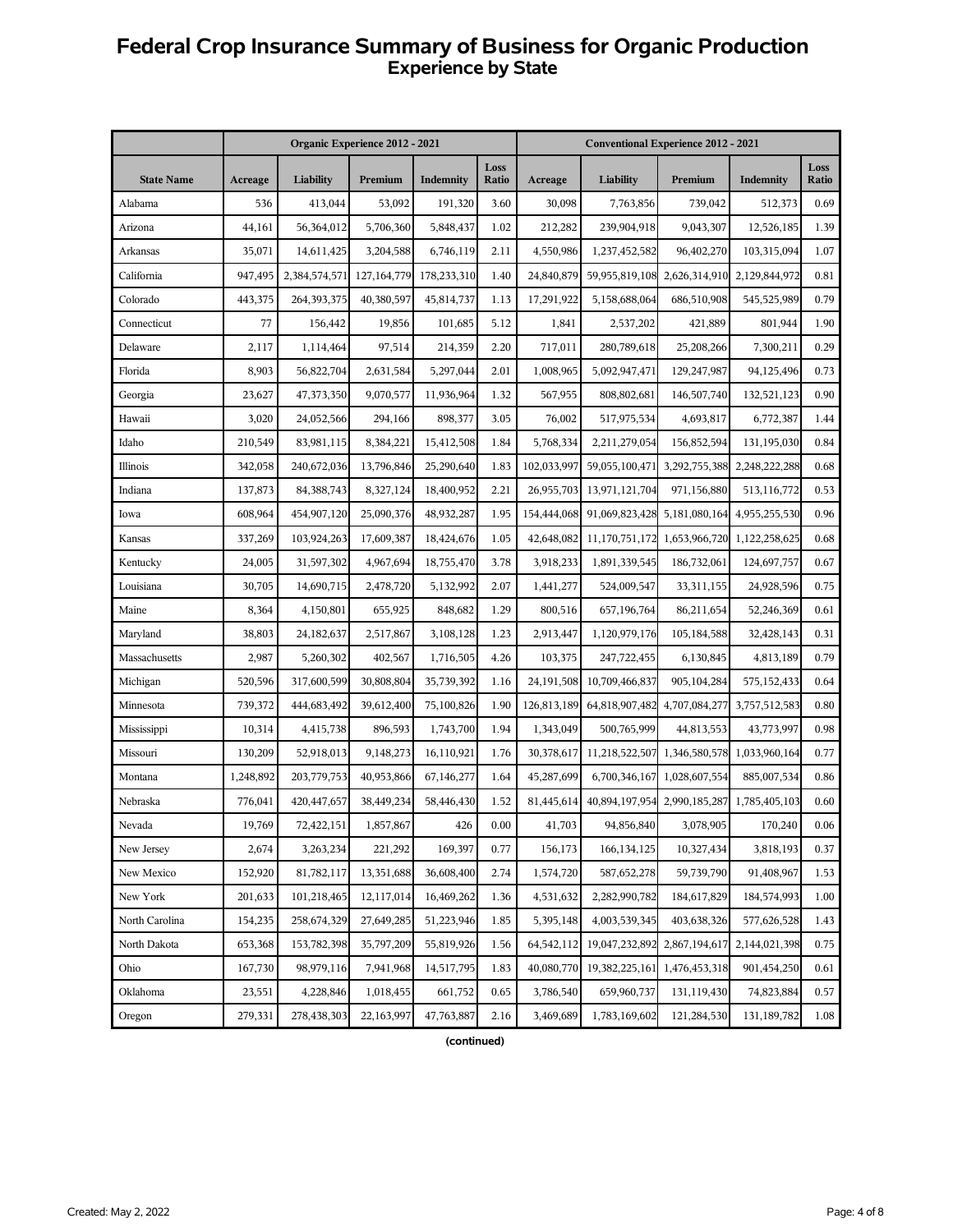# **Federal Crop Insurance Summary of Business for Organic Production Experience by State**

|                   |           |               | Organic Experience 2012 - 2021 |             |                      |             | <b>Conventional Experience 2012 - 2021</b> |                             |               |               |
|-------------------|-----------|---------------|--------------------------------|-------------|----------------------|-------------|--------------------------------------------|-----------------------------|---------------|---------------|
| <b>State Name</b> | Acreage   | Liability     | Premium                        | Indemnity   | Loss<br><b>Ratio</b> | Acreage     | Liability                                  | Premium                     | Indemnity     | Loss<br>Ratio |
| Alabama           | 536       | 413,044       | 53,092                         | 191,320     | 3.60                 | 30,098      | 7,763,856                                  | 739,042                     | 512,373       | 0.69          |
| Arizona           | 44,161    | 56,364,012    | 5,706,360                      | 5,848,437   | 1.02                 | 212,282     | 239,904,918                                | 9,043,307                   | 12,526,185    | 1.39          |
| Arkansas          | 35,071    | 14,611,425    | 3,204,588                      | 6,746,119   | 2.11                 | 4,550,986   | 1,237,452,582                              | 96,402,270                  | 103,315,094   | 1.07          |
| California        | 947,495   | 2,384,574,571 | 127, 164, 779                  | 178,233,310 | 1.40                 | 24,840,879  | 59,955,819,108                             | 2,626,314,910               | 2,129,844,972 | 0.81          |
| Colorado          | 443,375   | 264,393,375   | 40,380,597                     | 45,814,737  | 1.13                 | 17,291,922  | 5,158,688,064                              | 686,510,908                 | 545,525,989   | 0.79          |
| Connecticut       | 77        | 156,442       | 19,856                         | 101,685     | 5.12                 | 1,841       | 2,537,202                                  | 421,889                     | 801,944       | 1.90          |
| Delaware          | 2,117     | 1,114,464     | 97,514                         | 214,359     | 2.20                 | 717,011     | 280,789,618                                | 25,208,266                  | 7,300,211     | 0.29          |
| Florida           | 8,903     | 56,822,704    | 2,631,584                      | 5,297,044   | 2.01                 | 1,008,965   | 5,092,947,471                              | 129,247,987                 | 94,125,496    | 0.73          |
| Georgia           | 23,627    | 47,373,350    | 9,070,577                      | 11,936,964  | 1.32                 | 567,955     | 808,802,681                                | 146,507,740                 | 132,521,123   | 0.90          |
| Hawaii            | 3,020     | 24,052,566    | 294,166                        | 898,377     | 3.05                 | 76,002      | 517,975,534                                | 4,693,817                   | 6,772,387     | 1.44          |
| Idaho             | 210,549   | 83,981,115    | 8,384,221                      | 15,412,508  | 1.84                 | 5,768,334   | 2,211,279,054                              | 156,852,594                 | 131,195,030   | 0.84          |
| Illinois          | 342,058   | 240,672,036   | 13,796,846                     | 25,290,640  | 1.83                 | 102,033,997 | 59,055,100,471                             | 3,292,755,388               | 2,248,222,288 | 0.68          |
| Indiana           | 137,873   | 84, 388, 743  | 8,327,124                      | 18,400,952  | 2.21                 | 26,955,703  | 13,971,121,704                             | 971,156,880                 | 513,116,772   | 0.53          |
| Iowa              | 608,964   | 454,907,120   | 25,090,376                     | 48,932,287  | 1.95                 | 154,444,068 | 91,069,823,428                             | 5,181,080,164               | 4,955,255,530 | 0.96          |
| Kansas            | 337,269   | 103,924,263   | 17,609,387                     | 18,424,676  | 1.05                 | 42,648,082  | 11, 170, 751, 172 1, 653, 966, 720         |                             | 1,122,258,625 | 0.68          |
| Kentucky          | 24,005    | 31,597,302    | 4,967,694                      | 18,755,470  | 3.78                 | 3,918,233   | 1,891,339,545                              | 186,732,061                 | 124,697,757   | 0.67          |
| Louisiana         | 30,705    | 14,690,715    | 2,478,720                      | 5,132,992   | 2.07                 | 1,441,277   | 524,009,547                                | 33,311,155                  | 24,928,596    | 0.75          |
| Maine             | 8,364     | 4,150,801     | 655,925                        | 848,682     | 1.29                 | 800,516     | 657,196,764                                | 86,211,654                  | 52,246,369    | 0.61          |
| Maryland          | 38,803    | 24,182,637    | 2,517,867                      | 3,108,128   | 1.23                 | 2,913,447   | 1,120,979,176                              | 105,184,588                 | 32,428,143    | 0.31          |
| Massachusetts     | 2,987     | 5,260,302     | 402,567                        | 1,716,505   | 4.26                 | 103,375     | 247,722,455                                | 6,130,845                   | 4,813,189     | 0.79          |
| Michigan          | 520,596   | 317,600,599   | 30,808,804                     | 35,739,392  | 1.16                 | 24,191,508  | 10,709,466,837                             | 905,104,284                 | 575,152,433   | 0.64          |
| Minnesota         | 739,372   | 444,683,492   | 39,612,400                     | 75,100,826  | 1.90                 | 126,813,189 | 64,818,907,482                             | 4,707,084,277               | 3,757,512,583 | 0.80          |
| Mississippi       | 10,314    | 4,415,738     | 896,593                        | 1,743,700   | 1.94                 | 1,343,049   | 500,765,999                                | 44,813,553                  | 43,773,997    | 0.98          |
| Missouri          | 130,209   | 52,918,013    | 9,148,273                      | 16,110,921  | 1.76                 | 30,378,617  | 11,218,522,507 1,346,580,578               |                             | 1,033,960,164 | 0.77          |
| Montana           | 1,248,892 | 203,779,753   | 40,953,866                     | 67,146,277  | 1.64                 | 45,287,699  |                                            | 6,700,346,167 1,028,607,554 | 885,007,534   | 0.86          |
| Nebraska          | 776,041   | 420, 447, 657 | 38,449,234                     | 58,446,430  | 1.52                 | 81,445,614  | 40,894,197,954                             | 2,990,185,287               | 1,785,405,103 | 0.60          |
| Nevada            | 19,769    | 72,422,151    | 1,857,867                      | 426         | 0.00                 | 41,703      | 94,856,840                                 | 3,078,905                   | 170,240       | 0.06          |
| New Jersey        | 2,674     | 3,263,234     | 221,292                        | 169,397     | 0.77                 | 156,173     | 166, 134, 125                              | 10,327,434                  | 3,818,193     | 0.37          |
| New Mexico        | 152,920   | 81,782,117    | 13,351,688                     | 36,608,400  | 2.74                 | 1,574,720   | 587,652,278                                | 59,739,790                  | 91,408,967    | 1.53          |
| New York          | 201,633   | 101,218,465   | 12,117,014                     | 16,469,262  | 1.36                 | 4,531,632   | 2,282,990,782                              | 184,617,829                 | 184,574,993   | 1.00          |
| North Carolina    | 154,235   | 258,674,329   | 27,649,285                     | 51,223,946  | 1.85                 | 5,395,148   | 4,003,539,345                              | 403,638,326                 | 577,626,528   | 1.43          |
| North Dakota      | 653,368   | 153,782,398   | 35,797,209                     | 55,819,926  | 1.56                 | 64,542,112  | 19,047,232,892                             | 2,867,194,617               | 2,144,021,398 | 0.75          |
| Ohio              | 167,730   | 98,979,116    | 7,941,968                      | 14,517,795  | 1.83                 | 40,080,770  | 19,382,225,161                             | 1,476,453,318               | 901,454,250   | 0.61          |
| Oklahoma          | 23,551    | 4,228,846     | 1,018,455                      | 661,752     | 0.65                 | 3,786,540   | 659,960,737                                | 131,119,430                 | 74,823,884    | 0.57          |
| Oregon            | 279,331   | 278,438,303   | 22,163,997                     | 47,763,887  | 2.16                 | 3,469,689   | 1,783,169,602                              | 121,284,530                 | 131,189,782   | 1.08          |

**(continued)**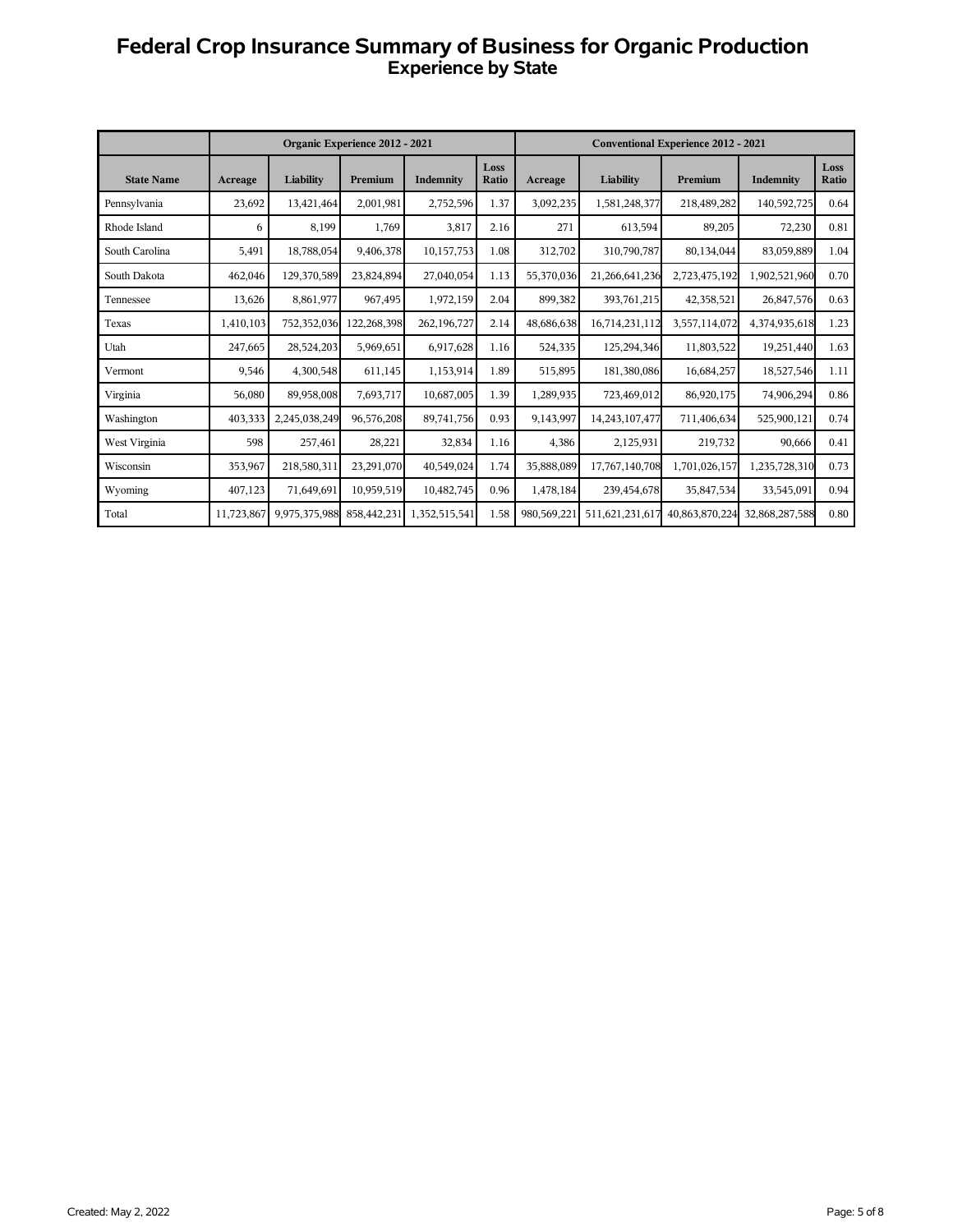# **Federal Crop Insurance Summary of Business for Organic Production Experience by State**

|                   |            |               | Organic Experience 2012 - 2021 |               |               |             |                 | <b>Conventional Experience 2012 - 2021</b> |                |               |
|-------------------|------------|---------------|--------------------------------|---------------|---------------|-------------|-----------------|--------------------------------------------|----------------|---------------|
| <b>State Name</b> | Acreage    | Liability     | Premium                        | Indemnity     | Loss<br>Ratio | Acreage     | Liability       | Premium                                    | Indemnity      | Loss<br>Ratio |
| Pennsylvania      | 23,692     | 13,421,464    | 2,001,981                      | 2,752,596     | 1.37          | 3,092,235   | 1,581,248,377   | 218,489,282                                | 140,592,725    | 0.64          |
| Rhode Island      | 6          | 8,199         | 1,769                          | 3,817         | 2.16          | 271         | 613,594         | 89,205                                     | 72,230         | 0.81          |
| South Carolina    | 5,491      | 18,788,054    | 9,406,378                      | 10,157,753    | 1.08          | 312,702     | 310,790,787     | 80,134,044                                 | 83,059,889     | 1.04          |
| South Dakota      | 462,046    | 129,370,589   | 23,824,894                     | 27,040,054    | 1.13          | 55,370,036  | 21,266,641,236  | 2,723,475,192                              | 1,902,521,960  | 0.70          |
| Tennessee         | 13,626     | 8,861,977     | 967.495                        | 1,972,159     | 2.04          | 899,382     | 393,761,215     | 42,358,521                                 | 26,847,576     | 0.63          |
| Texas             | 1,410,103  | 752,352,036   | 122,268,398                    | 262,196,727   | 2.14          | 48,686,638  | 16,714,231,112  | 3,557,114,072                              | 4,374,935,618  | 1.23          |
| Utah              | 247,665    | 28,524,203    | 5,969,651                      | 6,917,628     | 1.16          | 524,335     | 125,294,346     | 11,803,522                                 | 19,251,440     | 1.63          |
| Vermont           | 9,546      | 4,300,548     | 611,145                        | 1,153,914     | 1.89          | 515,895     | 181,380,086     | 16,684,257                                 | 18,527,546     | 1.11          |
| Virginia          | 56,080     | 89,958,008    | 7,693,717                      | 10,687,005    | 1.39          | 1,289,935   | 723,469,012     | 86,920,175                                 | 74,906,294     | 0.86          |
| Washington        | 403,333    | 2.245.038.249 | 96,576,208                     | 89,741,756    | 0.93          | 9,143,997   | 14,243,107,477  | 711,406,634                                | 525,900,121    | 0.74          |
| West Virginia     | 598        | 257,461       | 28,221                         | 32,834        | 1.16          | 4,386       | 2,125,931       | 219,732                                    | 90,666         | 0.41          |
| Wisconsin         | 353,967    | 218,580,311   | 23,291,070                     | 40,549,024    | 1.74          | 35,888,089  | 17,767,140,708  | 1,701,026,157                              | 1,235,728,310  | 0.73          |
| Wyoming           | 407,123    | 71,649,691    | 10,959,519                     | 10,482,745    | 0.96          | 1,478,184   | 239,454,678     | 35,847,534                                 | 33,545,091     | 0.94          |
| Total             | 11,723,867 | 9,975,375,988 | 858,442,231                    | 1,352,515,541 | 1.58          | 980,569,221 | 511,621,231,617 | 40,863,870,224                             | 32,868,287,588 | 0.80          |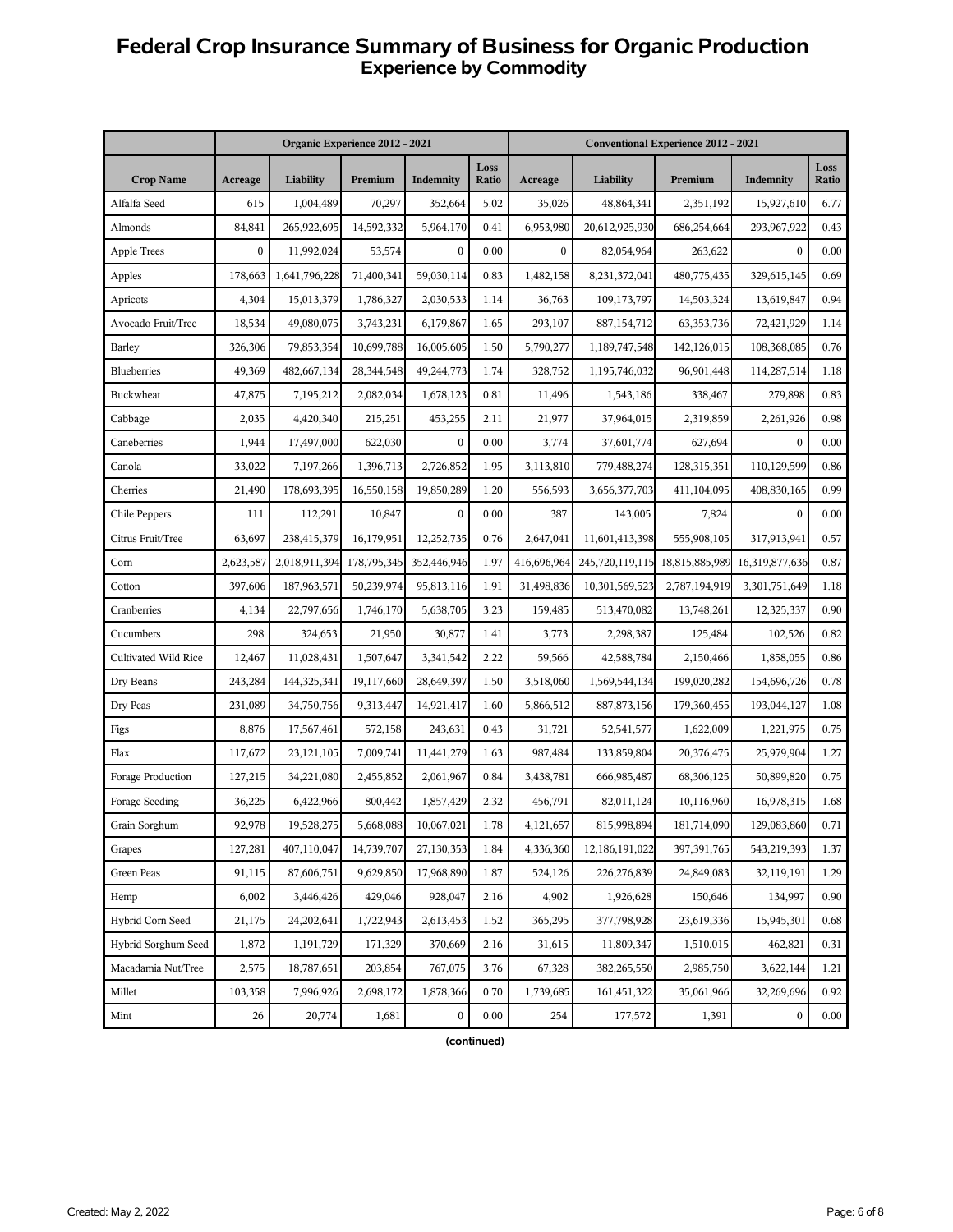# **Federal Crop Insurance Summary of Business for Organic Production Experience by Commodity**

|                      |              |               | Organic Experience 2012 - 2021 |              |               |                |                 | <b>Conventional Experience 2012 - 2021</b> |                  |               |
|----------------------|--------------|---------------|--------------------------------|--------------|---------------|----------------|-----------------|--------------------------------------------|------------------|---------------|
| <b>Crop Name</b>     | Acreage      | Liability     | Premium                        | Indemnity    | Loss<br>Ratio | Acreage        | Liability       | Premium                                    | Indemnity        | Loss<br>Ratio |
| Alfalfa Seed         | 615          | 1,004,489     | 70,297                         | 352,664      | 5.02          | 35,026         | 48,864,341      | 2,351,192                                  | 15,927,610       | 6.77          |
| Almonds              | 84,841       | 265,922,695   | 14,592,332                     | 5,964,170    | 0.41          | 6,953,980      | 20,612,925,930  | 686,254,664                                | 293,967,922      | 0.43          |
| <b>Apple Trees</b>   | $\mathbf{0}$ | 11,992,024    | 53,574                         | $\mathbf{0}$ | 0.00          | $\overline{0}$ | 82,054,964      | 263,622                                    | $\Omega$         | 0.00          |
| Apples               | 178,663      | 1,641,796,228 | 71,400,341                     | 59,030,114   | 0.83          | 1,482,158      | 8,231,372,041   | 480,775,435                                | 329,615,145      | 0.69          |
| Apricots             | 4,304        | 15,013,379    | 1,786,327                      | 2,030,533    | 1.14          | 36,763         | 109,173,797     | 14,503,324                                 | 13,619,847       | 0.94          |
| Avocado Fruit/Tree   | 18,534       | 49,080,075    | 3,743,231                      | 6,179,867    | 1.65          | 293,107        | 887,154,712     | 63,353,736                                 | 72,421,929       | 1.14          |
| <b>Barley</b>        | 326,306      | 79,853,354    | 10,699,788                     | 16,005,605   | 1.50          | 5,790,277      | 1,189,747,548   | 142,126,015                                | 108,368,085      | 0.76          |
| <b>Blueberries</b>   | 49,369       | 482,667,134   | 28,344,548                     | 49,244,773   | 1.74          | 328,752        | 1,195,746,032   | 96,901,448                                 | 114,287,514      | 1.18          |
| <b>Buckwheat</b>     | 47,875       | 7,195,212     | 2,082,034                      | 1,678,123    | 0.81          | 11,496         | 1,543,186       | 338,467                                    | 279,898          | 0.83          |
| Cabbage              | 2,035        | 4,420,340     | 215,251                        | 453,255      | 2.11          | 21,977         | 37,964,015      | 2,319,859                                  | 2,261,926        | 0.98          |
| Caneberries          | 1,944        | 17,497,000    | 622,030                        | $\mathbf{0}$ | 0.00          | 3,774          | 37,601,774      | 627,694                                    | $\theta$         | 0.00          |
| Canola               | 33,022       | 7,197,266     | 1,396,713                      | 2,726,852    | 1.95          | 3,113,810      | 779,488,274     | 128,315,351                                | 110,129,599      | 0.86          |
| Cherries             | 21,490       | 178,693,395   | 16,550,158                     | 19,850,289   | 1.20          | 556,593        | 3,656,377,703   | 411,104,095                                | 408,830,165      | 0.99          |
| Chile Peppers        | 111          | 112,291       | 10,847                         | $\mathbf{0}$ | 0.00          | 387            | 143,005         | 7,824                                      | $\Omega$         | 0.00          |
| Citrus Fruit/Tree    | 63,697       | 238,415,379   | 16,179,951                     | 12,252,735   | 0.76          | 2,647,041      | 11,601,413,398  | 555,908,105                                | 317,913,941      | 0.57          |
| Corn                 | 2,623,587    | 2,018,911,394 | 178,795,345                    | 352,446,946  | 1.97          | 416,696,964    | 245,720,119,115 | 18,815,885,989                             | 16,319,877,636   | 0.87          |
| Cotton               | 397,606      | 187,963,571   | 50,239,974                     | 95,813,116   | 1.91          | 31,498,836     | 10,301,569,523  | 2,787,194,919                              | 3,301,751,649    | 1.18          |
| Cranberries          | 4,134        | 22,797,656    | 1,746,170                      | 5,638,705    | 3.23          | 159,485        | 513,470,082     | 13,748,261                                 | 12,325,337       | 0.90          |
| Cucumbers            | 298          | 324,653       | 21,950                         | 30,877       | 1.41          | 3,773          | 2,298,387       | 125,484                                    | 102,526          | 0.82          |
| Cultivated Wild Rice | 12,467       | 11,028,431    | 1,507,647                      | 3,341,542    | 2.22          | 59,566         | 42,588,784      | 2,150,466                                  | 1,858,055        | 0.86          |
| Dry Beans            | 243,284      | 144,325,341   | 19,117,660                     | 28,649,397   | 1.50          | 3,518,060      | 1,569,544,134   | 199,020,282                                | 154,696,726      | 0.78          |
| Dry Peas             | 231,089      | 34,750,756    | 9,313,447                      | 14,921,417   | 1.60          | 5,866,512      | 887, 873, 156   | 179,360,455                                | 193,044,127      | 1.08          |
| Figs                 | 8,876        | 17,567,461    | 572,158                        | 243,631      | 0.43          | 31,721         | 52,541,577      | 1,622,009                                  | 1,221,975        | 0.75          |
| Flax                 | 117,672      | 23,121,105    | 7,009,741                      | 11,441,279   | 1.63          | 987,484        | 133,859,804     | 20,376,475                                 | 25,979,904       | 1.27          |
| Forage Production    | 127,215      | 34,221,080    | 2,455,852                      | 2,061,967    | 0.84          | 3,438,781      | 666,985,487     | 68,306,125                                 | 50,899,820       | 0.75          |
| Forage Seeding       | 36,225       | 6,422,966     | 800,442                        | 1,857,429    | 2.32          | 456,791        | 82,011,124      | 10,116,960                                 | 16,978,315       | 1.68          |
| Grain Sorghum        | 92,978       | 19,528,275    | 5,668,088                      | 10,067,021   | 1.78          | 4,121,657      | 815,998,894     | 181,714,090                                | 129,083,860      | 0.71          |
| Grapes               | 127,281      | 407,110,047   | 14,739,707                     | 27,130,353   | 1.84          | 4,336,360      | 12,186,191,022  | 397, 391, 765                              | 543,219,393      | 1.37          |
| Green Peas           | 91,115       | 87,606,751    | 9,629,850                      | 17,968,890   | 1.87          | 524,126        | 226,276,839     | 24,849,083                                 | 32,119,191       | 1.29          |
| Hemp                 | 6,002        | 3,446,426     | 429,046                        | 928,047      | 2.16          | 4,902          | 1,926,628       | 150,646                                    | 134,997          | 0.90          |
| Hybrid Corn Seed     | 21,175       | 24,202,641    | 1,722,943                      | 2,613,453    | 1.52          | 365,295        | 377,798,928     | 23,619,336                                 | 15,945,301       | 0.68          |
| Hybrid Sorghum Seed  | 1,872        | 1,191,729     | 171,329                        | 370,669      | 2.16          | 31,615         | 11,809,347      | 1,510,015                                  | 462,821          | 0.31          |
| Macadamia Nut/Tree   | 2,575        | 18,787,651    | 203,854                        | 767,075      | 3.76          | 67,328         | 382,265,550     | 2,985,750                                  | 3,622,144        | 1.21          |
| Millet               | 103,358      | 7,996,926     | 2,698,172                      | 1,878,366    | 0.70          | 1,739,685      | 161,451,322     | 35,061,966                                 | 32,269,696       | 0.92          |
| Mint                 | 26           | 20,774        | 1,681                          | $\bf{0}$     | 0.00          | 254            | 177,572         | 1,391                                      | $\boldsymbol{0}$ | 0.00          |

**(continued)**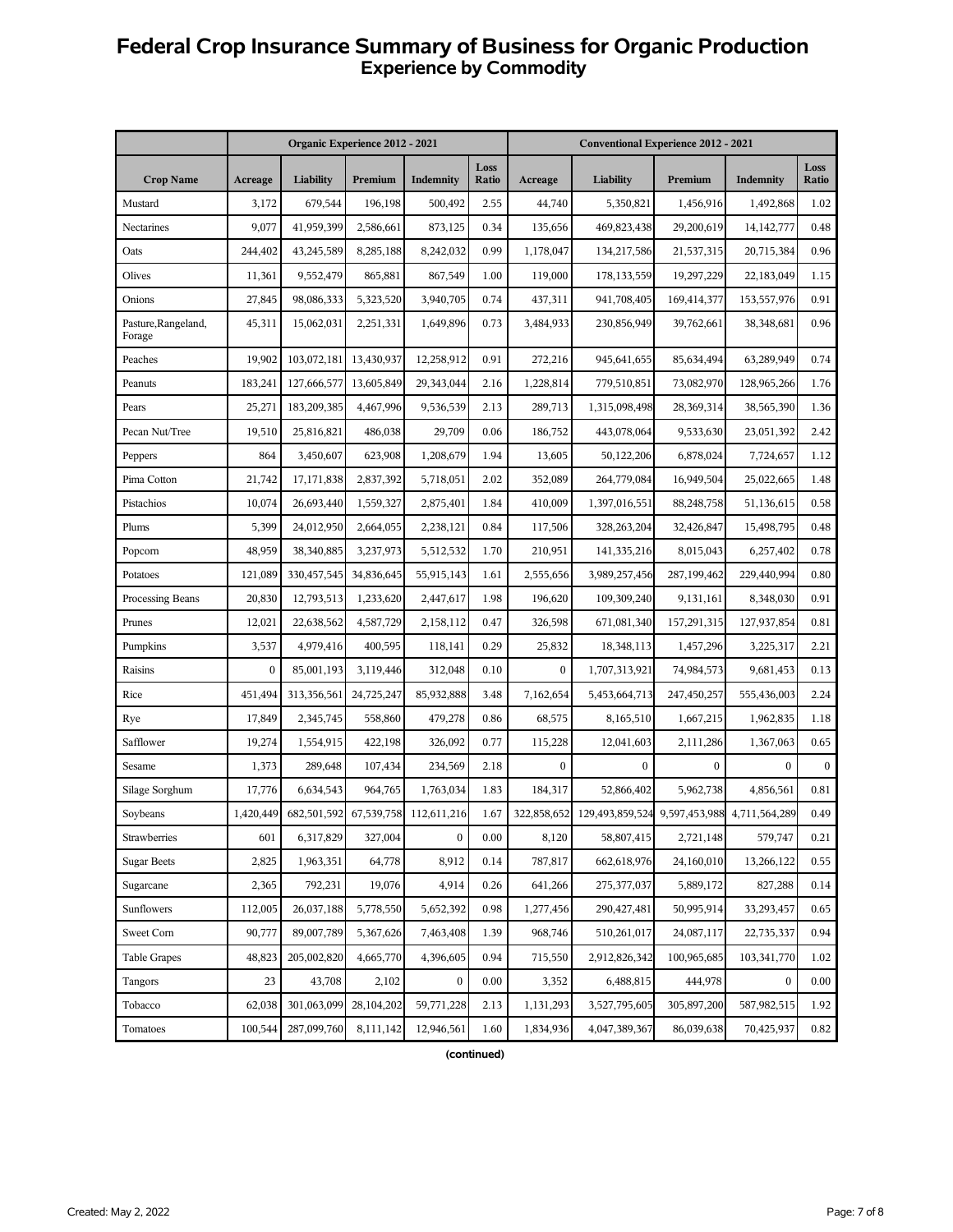# **Federal Crop Insurance Summary of Business for Organic Production Experience by Commodity**

|                               | Organic Experience 2012 - 2021 |             |            |                  |                      | <b>Conventional Experience 2012 - 2021</b> |                                                         |                  |              |               |
|-------------------------------|--------------------------------|-------------|------------|------------------|----------------------|--------------------------------------------|---------------------------------------------------------|------------------|--------------|---------------|
| <b>Crop Name</b>              | Acreage                        | Liability   | Premium    | Indemnity        | Loss<br><b>Ratio</b> | Acreage                                    | Liability                                               | Premium          | Indemnity    | Loss<br>Ratio |
| Mustard                       | 3,172                          | 679,544     | 196,198    | 500,492          | 2.55                 | 44,740                                     | 5,350,821                                               | 1,456,916        | 1,492,868    | 1.02          |
| Nectarines                    | 9,077                          | 41,959,399  | 2,586,661  | 873,125          | 0.34                 | 135,656                                    | 469,823,438                                             | 29,200,619       | 14, 142, 777 | 0.48          |
| Oats                          | 244,402                        | 43,245,589  | 8,285,188  | 8,242,032        | 0.99                 | 1,178,047                                  | 134,217,586                                             | 21,537,315       | 20,715,384   | 0.96          |
| Olives                        | 11,361                         | 9,552,479   | 865,881    | 867,549          | 1.00                 | 119,000                                    | 178,133,559                                             | 19,297,229       | 22,183,049   | 1.15          |
| Onions                        | 27,845                         | 98,086,333  | 5,323,520  | 3,940,705        | 0.74                 | 437,311                                    | 941,708,405                                             | 169,414,377      | 153,557,976  | 0.91          |
| Pasture, Rangeland,<br>Forage | 45,311                         | 15,062,031  | 2,251,331  | 1,649,896        | 0.73                 | 3,484,933                                  | 230,856,949                                             | 39,762,661       | 38,348,681   | 0.96          |
| Peaches                       | 19,902                         | 103,072,181 | 13,430,937 | 12,258,912       | 0.91                 | 272,216                                    | 945,641,655                                             | 85,634,494       | 63,289,949   | 0.74          |
| Peanuts                       | 183,241                        | 127,666,577 | 13,605,849 | 29,343,044       | 2.16                 | 1,228,814                                  | 779,510,851                                             | 73,082,970       | 128,965,266  | 1.76          |
| Pears                         | 25,271                         | 183,209,385 | 4,467,996  | 9,536,539        | 2.13                 | 289,713                                    | 1,315,098,498                                           | 28,369,314       | 38,565,390   | 1.36          |
| Pecan Nut/Tree                | 19,510                         | 25,816,821  | 486.038    | 29,709           | 0.06                 | 186,752                                    | 443,078,064                                             | 9,533,630        | 23,051,392   | 2.42          |
| Peppers                       | 864                            | 3,450,607   | 623,908    | 1,208,679        | 1.94                 | 13,605                                     | 50,122,206                                              | 6,878,024        | 7,724,657    | 1.12          |
| Pima Cotton                   | 21,742                         | 17,171,838  | 2,837,392  | 5,718,051        | 2.02                 | 352,089                                    | 264,779,084                                             | 16,949,504       | 25,022,665   | 1.48          |
| Pistachios                    | 10,074                         | 26,693,440  | 1,559,327  | 2,875,401        | 1.84                 | 410,009                                    | 1,397,016,551                                           | 88,248,758       | 51,136,615   | 0.58          |
| Plums                         | 5,399                          | 24,012,950  | 2,664,055  | 2,238,121        | 0.84                 | 117,506                                    | 328,263,204                                             | 32,426,847       | 15,498,795   | 0.48          |
| Popcorn                       | 48,959                         | 38,340,885  | 3,237,973  | 5,512,532        | 1.70                 | 210,951                                    | 141,335,216                                             | 8,015,043        | 6,257,402    | 0.78          |
| Potatoes                      | 121,089                        | 330,457,545 | 34,836,645 | 55,915,143       | 1.61                 | 2,555,656                                  | 3,989,257,456                                           | 287,199,462      | 229,440,994  | 0.80          |
| Processing Beans              | 20,830                         | 12,793,513  | 1,233,620  | 2,447,617        | 1.98                 | 196,620                                    | 109,309,240                                             | 9,131,161        | 8,348,030    | 0.91          |
| Prunes                        | 12,021                         | 22,638,562  | 4,587,729  | 2,158,112        | 0.47                 | 326,598                                    | 671,081,340                                             | 157,291,315      | 127,937,854  | 0.81          |
| Pumpkins                      | 3,537                          | 4,979,416   | 400,595    | 118,141          | 0.29                 | 25,832                                     | 18,348,113                                              | 1,457,296        | 3,225,317    | 2.21          |
| Raisins                       | $\bf{0}$                       | 85,001,193  | 3,119,446  | 312,048          | 0.10                 | $\boldsymbol{0}$                           | 1,707,313,921                                           | 74,984,573       | 9,681,453    | 0.13          |
| Rice                          | 451,494                        | 313,356,561 | 24,725,247 | 85,932,888       | 3.48                 | 7,162,654                                  | 5,453,664,713                                           | 247,450,257      | 555,436,003  | 2.24          |
| Rye                           | 17,849                         | 2,345,745   | 558,860    | 479,278          | 0.86                 | 68,575                                     | 8,165,510                                               | 1,667,215        | 1,962,835    | 1.18          |
| Safflower                     | 19,274                         | 1,554,915   | 422,198    | 326,092          | 0.77                 | 115,228                                    | 12,041,603                                              | 2,111,286        | 1,367,063    | 0.65          |
| Sesame                        | 1,373                          | 289,648     | 107,434    | 234,569          | 2.18                 | $\boldsymbol{0}$                           | $\mathbf{0}$                                            | $\boldsymbol{0}$ | $\mathbf{0}$ | $\mathbf{0}$  |
| Silage Sorghum                | 17,776                         | 6,634,543   | 964,765    | 1,763,034        | 1.83                 | 184,317                                    | 52,866,402                                              | 5,962,738        | 4,856,561    | 0.81          |
| Soybeans                      | 1,420,449                      | 682,501,592 | 67,539,758 | 112,611,216      | 1.67                 |                                            | 322,858,652 129,493,859,524 9,597,453,988 4,711,564,289 |                  |              | 0.49          |
| Strawberries                  | 601                            | 6,317,829   | 327,004    | $\boldsymbol{0}$ | 0.00                 | 8,120                                      | 58,807,415                                              | 2,721,148        | 579,747      | 0.21          |
| <b>Sugar Beets</b>            | 2,825                          | 1,963,351   | 64,778     | 8,912            | 0.14                 | 787,817                                    | 662,618,976                                             | 24,160,010       | 13,266,122   | 0.55          |
| Sugarcane                     | 2,365                          | 792,231     | 19,076     | 4,914            | 0.26                 | 641,266                                    | 275,377,037                                             | 5,889,172        | 827,288      | 0.14          |
| Sunflowers                    | 112,005                        | 26,037,188  | 5,778,550  | 5,652,392        | 0.98                 | 1,277,456                                  | 290, 427, 481                                           | 50,995,914       | 33,293,457   | 0.65          |
| Sweet Corn                    | 90,777                         | 89,007,789  | 5,367,626  | 7,463,408        | 1.39                 | 968,746                                    | 510,261,017                                             | 24,087,117       | 22,735,337   | 0.94          |
| <b>Table Grapes</b>           | 48,823                         | 205,002,820 | 4,665,770  | 4,396,605        | 0.94                 | 715,550                                    | 2,912,826,342                                           | 100,965,685      | 103,341,770  | 1.02          |
| Tangors                       | 23                             | 43,708      | 2,102      | $\boldsymbol{0}$ | 0.00                 | 3,352                                      | 6,488,815                                               | 444,978          | $\bf{0}$     | 0.00          |
| Tobacco                       | 62,038                         | 301,063,099 | 28,104,202 | 59,771,228       | 2.13                 | 1,131,293                                  | 3,527,795,605                                           | 305,897,200      | 587,982,515  | 1.92          |
| Tomatoes                      | 100,544                        | 287,099,760 | 8,111,142  | 12,946,561       | 1.60                 | 1,834,936                                  | 4,047,389,367                                           | 86,039,638       | 70,425,937   | 0.82          |

**(continued)**